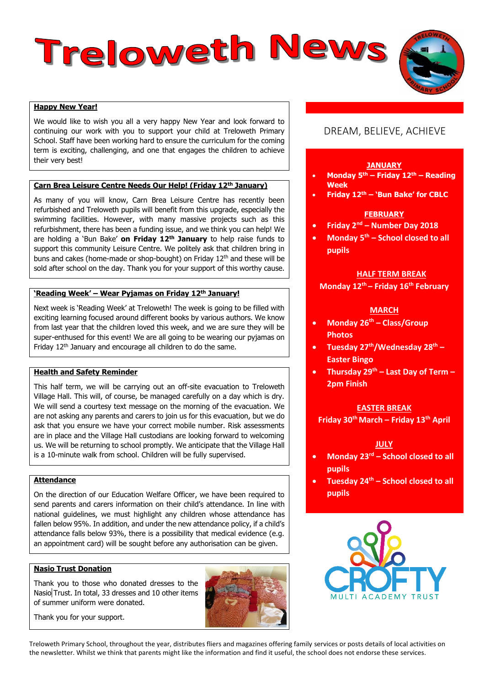# Treloweth News

# **Happy New Year!**

We would like to wish you all a very happy New Year and look forward to continuing our work with you to support your child at Treloweth Primary School. Staff have been working hard to ensure the curriculum for the coming term is exciting, challenging, and one that engages the children to achieve their very best!

#### **Carn Brea Leisure Centre Needs Our Help! (Friday 12th January)**

As many of you will know, Carn Brea Leisure Centre has recently been refurbished and Treloweth pupils will benefit from this upgrade, especially the swimming facilities. However, with many massive projects such as this refurbishment, there has been a funding issue, and we think you can help! We are holding a 'Bun Bake' **on Friday 12th January** to help raise funds to support this community Leisure Centre. We politely ask that children bring in buns and cakes (home-made or shop-bought) on Friday 12<sup>th</sup> and these will be sold after school on the day. Thank you for your support of this worthy cause.

# **'Reading Week' – Wear Pyjamas on Friday 12th January!**

Next week is 'Reading Week' at Treloweth! The week is going to be filled with exciting learning focused around different books by various authors. We know from last year that the children loved this week, and we are sure they will be super-enthused for this event! We are all going to be wearing our pyjamas on Friday 12<sup>th</sup> January and encourage all children to do the same.

# **Health and Safety Reminder**

This half term, we will be carrying out an off-site evacuation to Treloweth Village Hall. This will, of course, be managed carefully on a day which is dry. We will send a courtesy text message on the morning of the evacuation. We are not asking any parents and carers to join us for this evacuation, but we do ask that you ensure we have your correct mobile number. Risk assessments are in place and the Village Hall custodians are looking forward to welcoming us. We will be returning to school promptly. We anticipate that the Village Hall is a 10-minute walk from school. Children will be fully supervised.

## **Attendance**

On the direction of our Education Welfare Officer, we have been required to send parents and carers information on their child's attendance. In line with national guidelines, we must highlight any children whose attendance has fallen below 95%. In addition, and under the new attendance policy, if a child's attendance falls below 93%, there is a possibility that medical evidence (e.g. an appointment card) will be sought before any authorisation can be given.

#### **Nasio Trust Donation**

Thank you to those who donated dresses to the Nasio Trust. In total, 33 dresses and 10 other items of summer uniform were donated.



# DREAM, BELIEVE, ACHIEVE

#### **JANUARY**

- **Monday 5th – Friday 12th – Reading Week**
- **Friday 12th – 'Bun Bake' for CBLC**

#### **FEBRUARY**

- **Friday 2nd – Number Day 2018**
- **Monday 5th – School closed to all pupils**

# **HALF TERM BREAK**

## **Monday 12th – Friday 16th February**

#### **MARCH**

- **Monday 26th – Class/Group Photos**
- **Tuesday 27th/Wednesday 28th – Easter Bingo**
- **Thursday 29th – Last Day of Term – 2pm Finish**

#### **EASTER BREAK**

**Friday 30th March – Friday 13th April**

#### **JULY**

- **Monday 23rd – School closed to all pupils**
- **Tuesday 24th – School closed to all pupils**



Thank you for your support.

Treloweth Primary School, throughout the year, distributes fliers and magazines offering family services or posts details of local activities on the newsletter. Whilst we think that parents might like the information and find it useful, the school does not endorse these services.